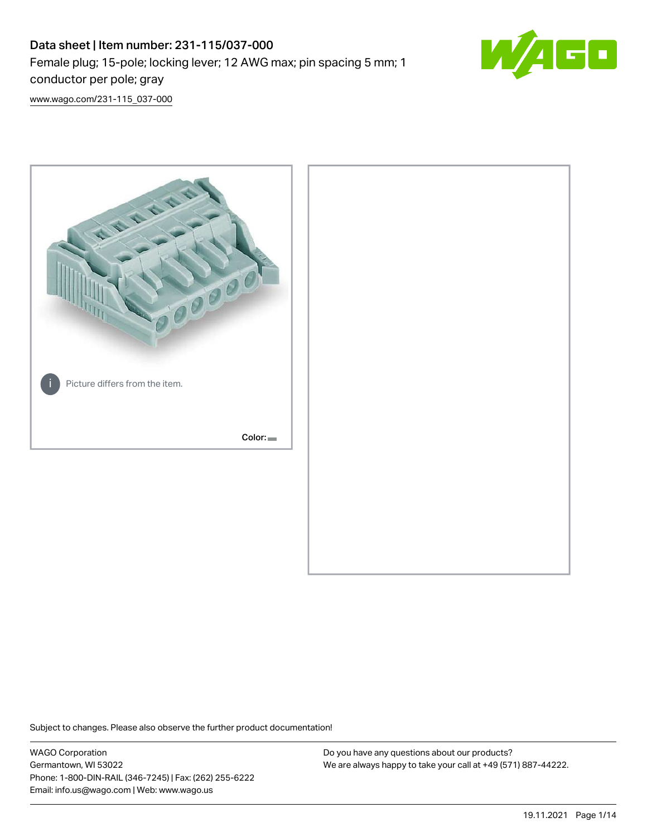# Data sheet | Item number: 231-115/037-000 Female plug; 15-pole; locking lever; 12 AWG max; pin spacing 5 mm; 1 conductor per pole; gray



[www.wago.com/231-115\\_037-000](http://www.wago.com/231-115_037-000)



Subject to changes. Please also observe the further product documentation!

WAGO Corporation Germantown, WI 53022 Phone: 1-800-DIN-RAIL (346-7245) | Fax: (262) 255-6222 Email: info.us@wago.com | Web: www.wago.us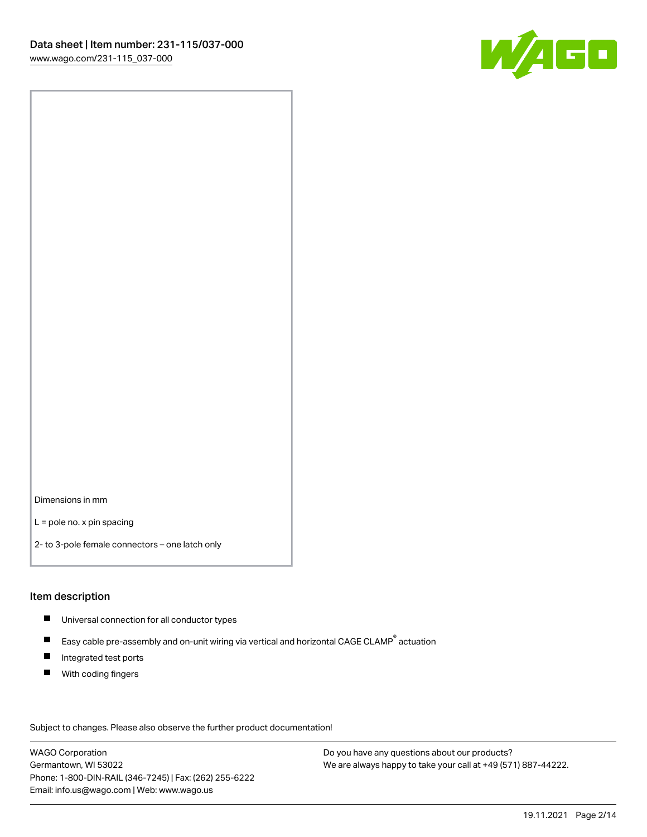

Dimensions in mm

L = pole no. x pin spacing

2- to 3-pole female connectors – one latch only

#### Item description

- **Universal connection for all conductor types**
- Easy cable pre-assembly and on-unit wiring via vertical and horizontal CAGE CLAMP<sup>®</sup> actuation  $\blacksquare$
- $\blacksquare$ Integrated test ports
- $\blacksquare$ With coding fingers

Subject to changes. Please also observe the further product documentation! Data

WAGO Corporation Germantown, WI 53022 Phone: 1-800-DIN-RAIL (346-7245) | Fax: (262) 255-6222 Email: info.us@wago.com | Web: www.wago.us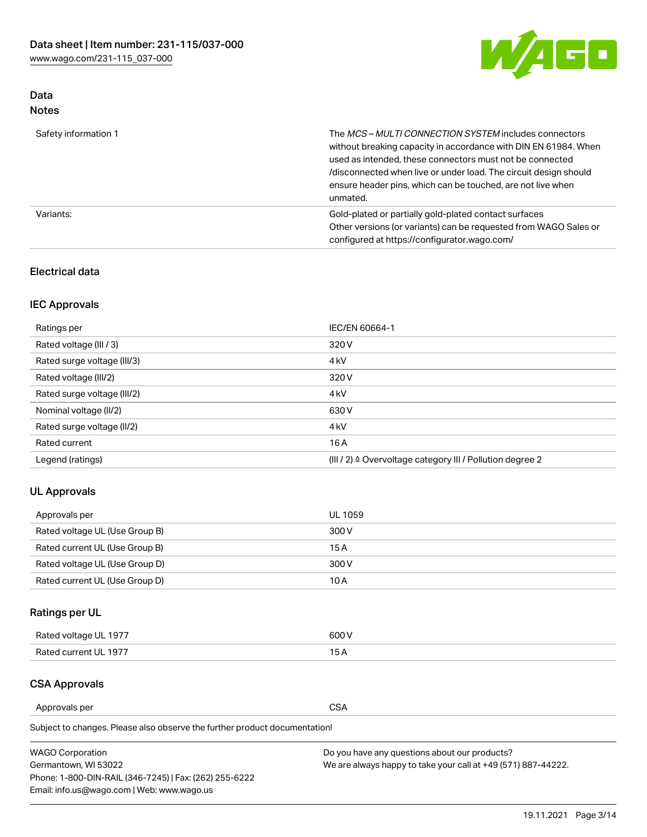

# Data Notes

| Safety information 1 | The MCS-MULTI CONNECTION SYSTEM includes connectors<br>without breaking capacity in accordance with DIN EN 61984. When<br>used as intended, these connectors must not be connected<br>/disconnected when live or under load. The circuit design should<br>ensure header pins, which can be touched, are not live when<br>unmated. |
|----------------------|-----------------------------------------------------------------------------------------------------------------------------------------------------------------------------------------------------------------------------------------------------------------------------------------------------------------------------------|
| Variants:            | Gold-plated or partially gold-plated contact surfaces<br>Other versions (or variants) can be requested from WAGO Sales or<br>configured at https://configurator.wago.com/                                                                                                                                                         |

### Electrical data

# IEC Approvals

| Ratings per                 | IEC/EN 60664-1                                                        |
|-----------------------------|-----------------------------------------------------------------------|
| Rated voltage (III / 3)     | 320 V                                                                 |
| Rated surge voltage (III/3) | 4 <sub>k</sub> V                                                      |
| Rated voltage (III/2)       | 320 V                                                                 |
| Rated surge voltage (III/2) | 4 <sub>k</sub> V                                                      |
| Nominal voltage (II/2)      | 630 V                                                                 |
| Rated surge voltage (II/2)  | 4 <sub>k</sub> V                                                      |
| Rated current               | 16 A                                                                  |
| Legend (ratings)            | $(III / 2)$ $\triangle$ Overvoltage category III / Pollution degree 2 |

# UL Approvals

| Approvals per                  | UL 1059 |
|--------------------------------|---------|
| Rated voltage UL (Use Group B) | 300 V   |
| Rated current UL (Use Group B) | 15 A    |
| Rated voltage UL (Use Group D) | 300 V   |
| Rated current UL (Use Group D) | 10 A    |

# Ratings per UL

| Rated voltage UL 1977 | 600 V         |
|-----------------------|---------------|
| Rated current UL 1977 | $\sim$ $\sim$ |

# CSA Approvals

Approvals per CSA

Subject to changes. Please also observe the further product documentation!

| <b>WAGO Corporation</b>                                | Do you have any questions about our products?                 |
|--------------------------------------------------------|---------------------------------------------------------------|
| Germantown, WI 53022                                   | We are always happy to take your call at +49 (571) 887-44222. |
| Phone: 1-800-DIN-RAIL (346-7245)   Fax: (262) 255-6222 |                                                               |
| Email: info.us@wago.com   Web: www.wago.us             |                                                               |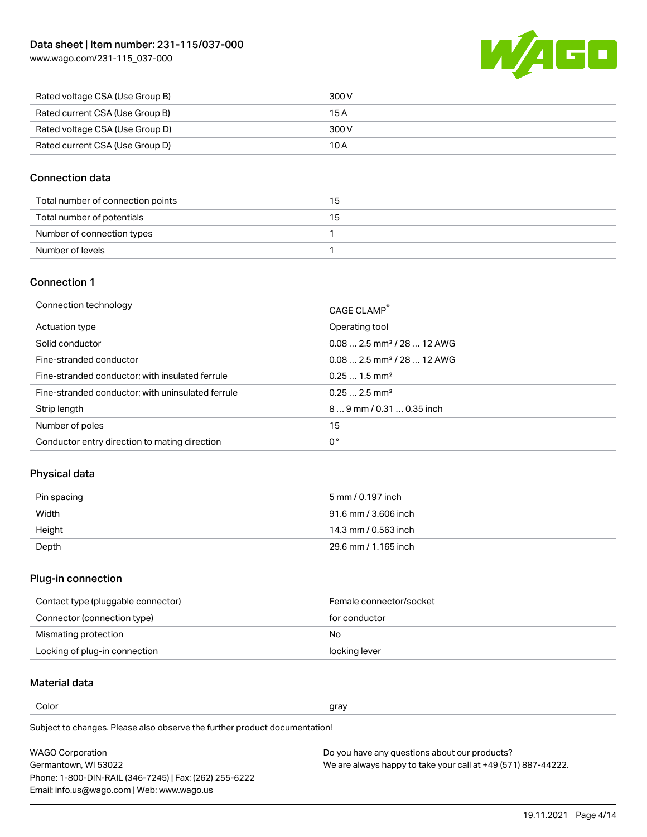[www.wago.com/231-115\\_037-000](http://www.wago.com/231-115_037-000)



| Rated voltage CSA (Use Group B) | 300 V |
|---------------------------------|-------|
| Rated current CSA (Use Group B) | 15 A  |
| Rated voltage CSA (Use Group D) | 300 V |
| Rated current CSA (Use Group D) | 10 A  |

### Connection data

| Total number of connection points | 15 |
|-----------------------------------|----|
| Total number of potentials        | 15 |
| Number of connection types        |    |
| Number of levels                  |    |

#### Connection 1

| Connection technology                             | CAGE CLAMP <sup>®</sup>                |
|---------------------------------------------------|----------------------------------------|
| Actuation type                                    | Operating tool                         |
| Solid conductor                                   | $0.082.5$ mm <sup>2</sup> / 28  12 AWG |
| Fine-stranded conductor                           | $0.082.5$ mm <sup>2</sup> / 28  12 AWG |
| Fine-stranded conductor; with insulated ferrule   | $0.251.5$ mm <sup>2</sup>              |
| Fine-stranded conductor; with uninsulated ferrule | $0.252.5$ mm <sup>2</sup>              |
| Strip length                                      | 89 mm / 0.31  0.35 inch                |
| Number of poles                                   | 15                                     |
| Conductor entry direction to mating direction     | 0°                                     |
|                                                   |                                        |

# Physical data

| Pin spacing | 5 mm / 0.197 inch    |
|-------------|----------------------|
| Width       | 91.6 mm / 3.606 inch |
| Height      | 14.3 mm / 0.563 inch |
| Depth       | 29.6 mm / 1.165 inch |

#### Plug-in connection

| Contact type (pluggable connector) | Female connector/socket |
|------------------------------------|-------------------------|
| Connector (connection type)        | for conductor           |
| Mismating protection               | No.                     |
| Locking of plug-in connection      | locking lever           |

# Material data

Color and the color of the color of the color of the color of the color of the color of the color of the color

Subject to changes. Please also observe the further product documentation! Material group I

| <b>WAGO Corporation</b>                                | Do you have any questions about our products?                 |
|--------------------------------------------------------|---------------------------------------------------------------|
| Germantown, WI 53022                                   | We are always happy to take your call at +49 (571) 887-44222. |
| Phone: 1-800-DIN-RAIL (346-7245)   Fax: (262) 255-6222 |                                                               |
| Email: info.us@wago.com   Web: www.wago.us             |                                                               |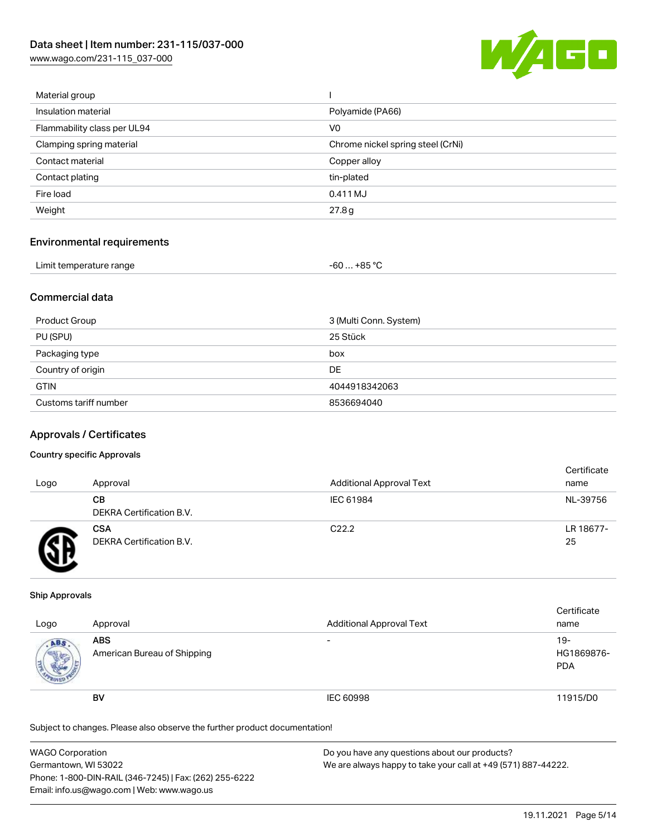[www.wago.com/231-115\\_037-000](http://www.wago.com/231-115_037-000)



| Material group              |                                   |
|-----------------------------|-----------------------------------|
| Insulation material         | Polyamide (PA66)                  |
| Flammability class per UL94 | V <sub>0</sub>                    |
| Clamping spring material    | Chrome nickel spring steel (CrNi) |
| Contact material            | Copper alloy                      |
| Contact plating             | tin-plated                        |
| Fire load                   | 0.411 MJ                          |
| Weight                      | 27.8g                             |
|                             |                                   |

## Environmental requirements

| Limit temperature range | $-60+85 °C$ |  |
|-------------------------|-------------|--|
|-------------------------|-------------|--|

## Commercial data

| Product Group         | 3 (Multi Conn. System) |
|-----------------------|------------------------|
| PU (SPU)              | 25 Stück               |
| Packaging type        | box                    |
| Country of origin     | DE                     |
| <b>GTIN</b>           | 4044918342063          |
| Customs tariff number | 8536694040             |

#### Approvals / Certificates

#### Country specific Approvals

| Logo | Approval                               | <b>Additional Approval Text</b> | Certificate<br>name |
|------|----------------------------------------|---------------------------------|---------------------|
|      | CВ<br>DEKRA Certification B.V.         | IEC 61984                       | NL-39756            |
|      | <b>CSA</b><br>DEKRA Certification B.V. | C <sub>22.2</sub>               | LR 18677-<br>25     |

#### Ship Approvals

| Logo | Approval                                  | <b>Additional Approval Text</b> | Certificate<br>name                |
|------|-------------------------------------------|---------------------------------|------------------------------------|
| ABS  | <b>ABS</b><br>American Bureau of Shipping | $\overline{\phantom{0}}$        | $19 -$<br>HG1869876-<br><b>PDA</b> |
|      | <b>BV</b>                                 | IEC 60998                       | 11915/D0                           |

Subject to changes. Please also observe the further product documentation!

| WAGO Corporation                                       | Do you have any questions about our products?                 |
|--------------------------------------------------------|---------------------------------------------------------------|
| Germantown, WI 53022                                   | We are always happy to take your call at +49 (571) 887-44222. |
| Phone: 1-800-DIN-RAIL (346-7245)   Fax: (262) 255-6222 |                                                               |
| Email: info.us@wago.com   Web: www.wago.us             |                                                               |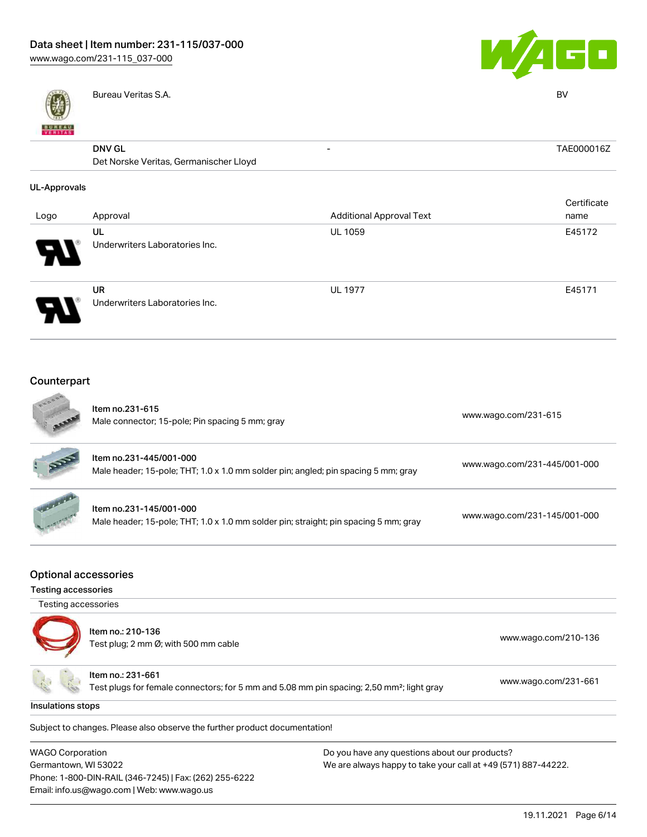

Bureau Veritas S.A. BV



| VERITAS             |                                        |                                 |             |
|---------------------|----------------------------------------|---------------------------------|-------------|
|                     | <b>DNV GL</b>                          | $\overline{\phantom{a}}$        | TAE000016Z  |
|                     | Det Norske Veritas, Germanischer Lloyd |                                 |             |
| <b>UL-Approvals</b> |                                        |                                 |             |
|                     |                                        |                                 | Certificate |
| Logo                | Approval                               | <b>Additional Approval Text</b> | name        |
|                     | UL                                     | <b>UL 1059</b>                  | E45172      |
|                     | Underwriters Laboratories Inc.         |                                 |             |
|                     | <b>UR</b>                              | <b>UL 1977</b>                  | E45171      |
|                     | Underwriters Laboratories Inc.         |                                 |             |
|                     |                                        |                                 |             |

#### Counterpart **College**

|                                             | Item no.231-615<br>Male connector; 15-pole; Pin spacing 5 mm; gray                                              | www.wago.com/231-615         |
|---------------------------------------------|-----------------------------------------------------------------------------------------------------------------|------------------------------|
|                                             | Item no.231-445/001-000<br>Male header; 15-pole; THT; 1.0 x 1.0 mm solder pin; angled; pin spacing 5 mm; gray   | www.wago.com/231-445/001-000 |
|                                             | Item no.231-145/001-000<br>Male header; 15-pole; THT; 1.0 x 1.0 mm solder pin; straight; pin spacing 5 mm; gray | www.wago.com/231-145/001-000 |
| Optional accessories<br>Testing accessories |                                                                                                                 |                              |
| Testing accessories                         |                                                                                                                 |                              |
|                                             | Item no.: 210-136<br>Test plug; 2 mm Ø; with 500 mm cable                                                       | www.wago.com/210-136         |

Test plugs for female connectors; for 5 mm and 5.08 mm pin spacing; 2,50 mm²; light gray [www.wago.com/231-661](http://www.wago.com/231-661)

Insulations stops

.<br>Subject to changes. Please also observe the further product documentation!

| <b>WAGO Corporation</b>                                |
|--------------------------------------------------------|
| Germantown, WI 53022                                   |
| Phone: 1-800-DIN-RAIL (346-7245)   Fax: (262) 255-6222 |
| Email: info.us@wago.com   Web: www.wago.us             |

Item no.: 231-661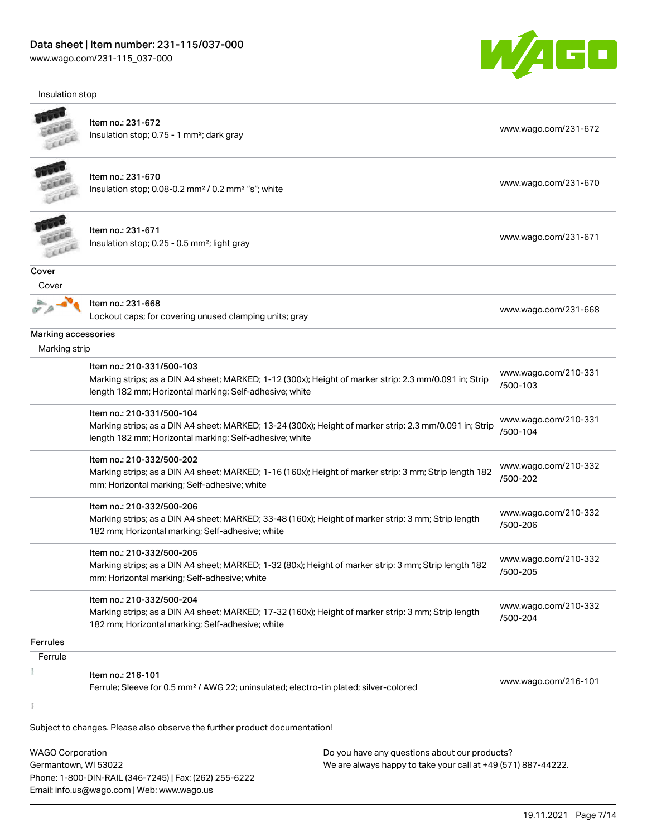Insulation stop



| EKER                | Item no.: 231-672<br>Insulation stop; 0.75 - 1 mm <sup>2</sup> ; dark gray                              | www.wago.com/231-672             |
|---------------------|---------------------------------------------------------------------------------------------------------|----------------------------------|
|                     |                                                                                                         |                                  |
|                     | Item no.: 231-670                                                                                       |                                  |
|                     | Insulation stop; 0.08-0.2 mm <sup>2</sup> / 0.2 mm <sup>2</sup> "s"; white                              | www.wago.com/231-670             |
|                     |                                                                                                         |                                  |
|                     | Item no.: 231-671                                                                                       |                                  |
|                     | Insulation stop; 0.25 - 0.5 mm <sup>2</sup> ; light gray                                                | www.wago.com/231-671             |
| FER                 |                                                                                                         |                                  |
| Cover               |                                                                                                         |                                  |
| Cover               |                                                                                                         |                                  |
|                     | Item no.: 231-668                                                                                       | www.wago.com/231-668             |
|                     | Lockout caps; for covering unused clamping units; gray                                                  |                                  |
| Marking accessories |                                                                                                         |                                  |
| Marking strip       |                                                                                                         |                                  |
|                     | Item no.: 210-331/500-103                                                                               | www.wago.com/210-331             |
|                     | Marking strips; as a DIN A4 sheet; MARKED; 1-12 (300x); Height of marker strip: 2.3 mm/0.091 in; Strip  | /500-103                         |
|                     | length 182 mm; Horizontal marking; Self-adhesive; white                                                 |                                  |
|                     | Item no.: 210-331/500-104                                                                               |                                  |
|                     | Marking strips; as a DIN A4 sheet; MARKED; 13-24 (300x); Height of marker strip: 2.3 mm/0.091 in; Strip | www.wago.com/210-331<br>/500-104 |
|                     | length 182 mm; Horizontal marking; Self-adhesive; white                                                 |                                  |
|                     | Item no.: 210-332/500-202                                                                               |                                  |
|                     | Marking strips; as a DIN A4 sheet; MARKED; 1-16 (160x); Height of marker strip: 3 mm; Strip length 182  | www.wago.com/210-332<br>/500-202 |
|                     | mm; Horizontal marking; Self-adhesive; white                                                            |                                  |
|                     | Item no.: 210-332/500-206                                                                               |                                  |
|                     | Marking strips; as a DIN A4 sheet; MARKED; 33-48 (160x); Height of marker strip: 3 mm; Strip length     | www.wago.com/210-332<br>/500-206 |
|                     | 182 mm; Horizontal marking; Self-adhesive; white                                                        |                                  |
|                     | Item no.: 210-332/500-205                                                                               |                                  |
|                     | Marking strips; as a DIN A4 sheet; MARKED; 1-32 (80x); Height of marker strip: 3 mm; Strip length 182   | www.wago.com/210-332             |
|                     | mm; Horizontal marking; Self-adhesive; white                                                            | /500-205                         |
|                     | Item no.: 210-332/500-204                                                                               |                                  |
|                     | Marking strips; as a DIN A4 sheet; MARKED; 17-32 (160x); Height of marker strip: 3 mm; Strip length     | www.wago.com/210-332             |
|                     | 182 mm; Horizontal marking; Self-adhesive; white                                                        | /500-204                         |
| <b>Ferrules</b>     |                                                                                                         |                                  |
| Ferrule             |                                                                                                         |                                  |
|                     | Item no.: 216-101                                                                                       |                                  |
|                     | Ferrule; Sleeve for 0.5 mm <sup>2</sup> / AWG 22; uninsulated; electro-tin plated; silver-colored       | www.wago.com/216-101             |

WAGO Corporation Germantown, WI 53022 Phone: 1-800-DIN-RAIL (346-7245) | Fax: (262) 255-6222 Email: info.us@wago.com | Web: www.wago.us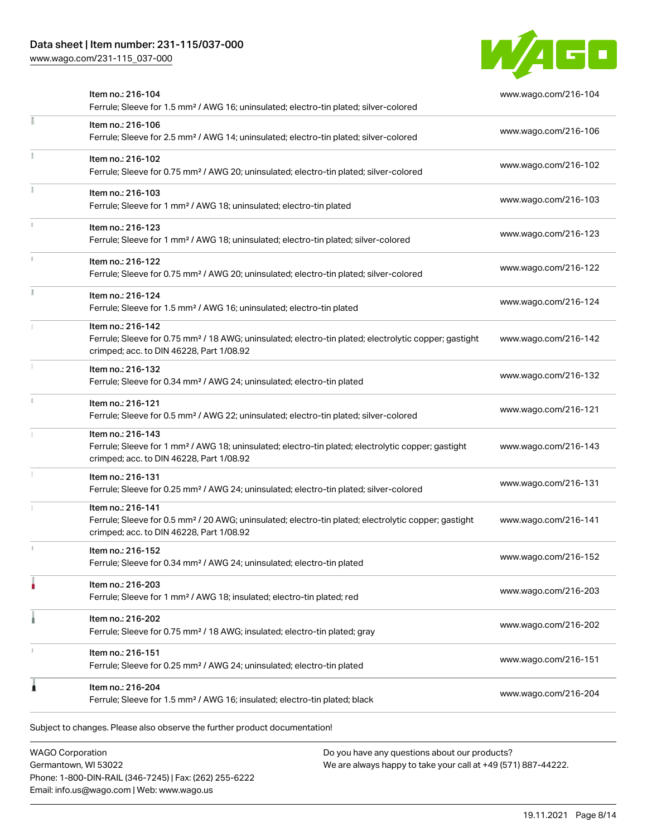# Data sheet | Item number: 231-115/037-000

[www.wago.com/231-115\\_037-000](http://www.wago.com/231-115_037-000)



| Item no.: 216-104<br>Ferrule; Sleeve for 1.5 mm <sup>2</sup> / AWG 16; uninsulated; electro-tin plated; silver-colored                                                             | www.wago.com/216-104 |
|------------------------------------------------------------------------------------------------------------------------------------------------------------------------------------|----------------------|
| Item no.: 216-106<br>Ferrule; Sleeve for 2.5 mm <sup>2</sup> / AWG 14; uninsulated; electro-tin plated; silver-colored                                                             | www.wago.com/216-106 |
| Item no.: 216-102<br>Ferrule; Sleeve for 0.75 mm <sup>2</sup> / AWG 20; uninsulated; electro-tin plated; silver-colored                                                            | www.wago.com/216-102 |
| Item no.: 216-103<br>Ferrule; Sleeve for 1 mm <sup>2</sup> / AWG 18; uninsulated; electro-tin plated                                                                               | www.wago.com/216-103 |
| Item no.: 216-123<br>Ferrule; Sleeve for 1 mm <sup>2</sup> / AWG 18; uninsulated; electro-tin plated; silver-colored                                                               | www.wago.com/216-123 |
| Item no.: 216-122<br>Ferrule; Sleeve for 0.75 mm <sup>2</sup> / AWG 20; uninsulated; electro-tin plated; silver-colored                                                            | www.wago.com/216-122 |
| Item no.: 216-124<br>Ferrule; Sleeve for 1.5 mm <sup>2</sup> / AWG 16; uninsulated; electro-tin plated                                                                             | www.wago.com/216-124 |
| Item no.: 216-142<br>Ferrule; Sleeve for 0.75 mm <sup>2</sup> / 18 AWG; uninsulated; electro-tin plated; electrolytic copper; gastight<br>crimped; acc. to DIN 46228, Part 1/08.92 | www.wago.com/216-142 |
| Item no.: 216-132<br>Ferrule; Sleeve for 0.34 mm <sup>2</sup> / AWG 24; uninsulated; electro-tin plated                                                                            | www.wago.com/216-132 |
| Item no.: 216-121<br>Ferrule; Sleeve for 0.5 mm <sup>2</sup> / AWG 22; uninsulated; electro-tin plated; silver-colored                                                             | www.wago.com/216-121 |
| Item no.: 216-143<br>Ferrule; Sleeve for 1 mm <sup>2</sup> / AWG 18; uninsulated; electro-tin plated; electrolytic copper; gastight<br>crimped; acc. to DIN 46228, Part 1/08.92    | www.wago.com/216-143 |
| Item no.: 216-131<br>Ferrule; Sleeve for 0.25 mm <sup>2</sup> / AWG 24; uninsulated; electro-tin plated; silver-colored                                                            | www.wago.com/216-131 |
| Item no.: 216-141<br>Ferrule; Sleeve for 0.5 mm <sup>2</sup> / 20 AWG; uninsulated; electro-tin plated; electrolytic copper; gastight<br>crimped; acc. to DIN 46228, Part 1/08.92  | www.wago.com/216-141 |
| Item no.: 216-152<br>Ferrule; Sleeve for 0.34 mm <sup>2</sup> / AWG 24; uninsulated; electro-tin plated                                                                            | www.wago.com/216-152 |
| Item no.: 216-203<br>Ferrule; Sleeve for 1 mm <sup>2</sup> / AWG 18; insulated; electro-tin plated; red                                                                            | www.wago.com/216-203 |
| Item no.: 216-202<br>Ferrule; Sleeve for 0.75 mm <sup>2</sup> / 18 AWG; insulated; electro-tin plated; gray                                                                        | www.wago.com/216-202 |
| Item no.: 216-151<br>Ferrule; Sleeve for 0.25 mm <sup>2</sup> / AWG 24; uninsulated; electro-tin plated                                                                            | www.wago.com/216-151 |
| Item no.: 216-204<br>Ferrule; Sleeve for 1.5 mm <sup>2</sup> / AWG 16; insulated; electro-tin plated; black                                                                        | www.wago.com/216-204 |

WAGO Corporation Germantown, WI 53022 Phone: 1-800-DIN-RAIL (346-7245) | Fax: (262) 255-6222 Email: info.us@wago.com | Web: www.wago.us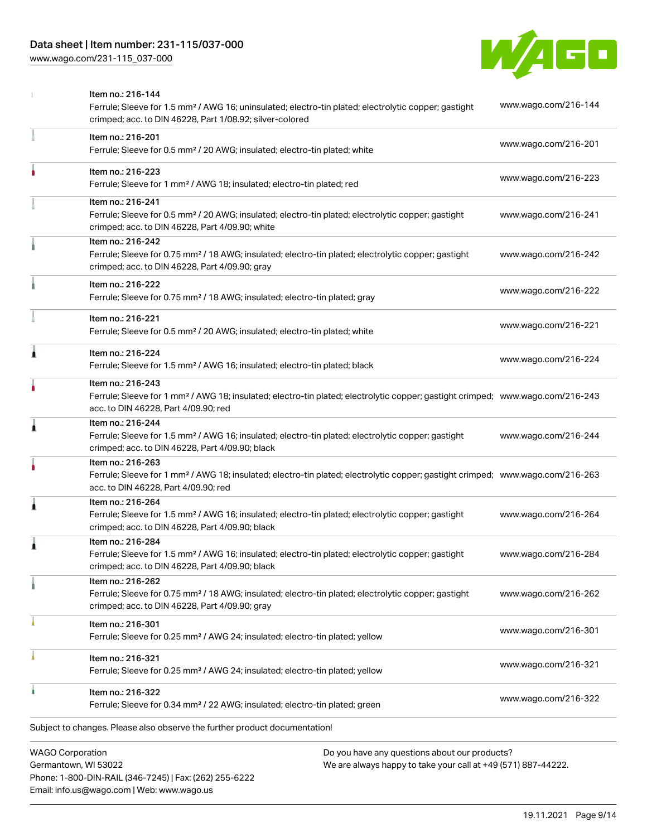[www.wago.com/231-115\\_037-000](http://www.wago.com/231-115_037-000)



|                         | Item no.: 216-144<br>Ferrule; Sleeve for 1.5 mm <sup>2</sup> / AWG 16; uninsulated; electro-tin plated; electrolytic copper; gastight<br>crimped; acc. to DIN 46228, Part 1/08.92; silver-colored       | www.wago.com/216-144 |
|-------------------------|---------------------------------------------------------------------------------------------------------------------------------------------------------------------------------------------------------|----------------------|
|                         | Item no.: 216-201<br>Ferrule; Sleeve for 0.5 mm <sup>2</sup> / 20 AWG; insulated; electro-tin plated; white                                                                                             | www.wago.com/216-201 |
|                         | Item no.: 216-223<br>Ferrule; Sleeve for 1 mm <sup>2</sup> / AWG 18; insulated; electro-tin plated; red                                                                                                 | www.wago.com/216-223 |
|                         | Item no.: 216-241<br>Ferrule; Sleeve for 0.5 mm <sup>2</sup> / 20 AWG; insulated; electro-tin plated; electrolytic copper; gastight<br>crimped; acc. to DIN 46228, Part 4/09.90; white                  | www.wago.com/216-241 |
|                         | Item no.: 216-242<br>Ferrule; Sleeve for 0.75 mm <sup>2</sup> / 18 AWG; insulated; electro-tin plated; electrolytic copper; gastight<br>crimped; acc. to DIN 46228, Part 4/09.90; gray                  | www.wago.com/216-242 |
|                         | Item no.: 216-222<br>Ferrule; Sleeve for 0.75 mm <sup>2</sup> / 18 AWG; insulated; electro-tin plated; gray                                                                                             | www.wago.com/216-222 |
|                         | Item no.: 216-221<br>Ferrule; Sleeve for 0.5 mm <sup>2</sup> / 20 AWG; insulated; electro-tin plated; white                                                                                             | www.wago.com/216-221 |
| ۸                       | Item no.: 216-224<br>Ferrule; Sleeve for 1.5 mm <sup>2</sup> / AWG 16; insulated; electro-tin plated; black                                                                                             | www.wago.com/216-224 |
|                         | Item no.: 216-243<br>Ferrule; Sleeve for 1 mm <sup>2</sup> / AWG 18; insulated; electro-tin plated; electrolytic copper; gastight crimped; www.wago.com/216-243<br>acc. to DIN 46228, Part 4/09.90; red |                      |
| 1                       | Item no.: 216-244<br>Ferrule; Sleeve for 1.5 mm <sup>2</sup> / AWG 16; insulated; electro-tin plated; electrolytic copper; gastight<br>crimped; acc. to DIN 46228, Part 4/09.90; black                  | www.wago.com/216-244 |
|                         | Item no.: 216-263<br>Ferrule; Sleeve for 1 mm <sup>2</sup> / AWG 18; insulated; electro-tin plated; electrolytic copper; gastight crimped; www.wago.com/216-263<br>acc. to DIN 46228, Part 4/09.90; red |                      |
| 1                       | Item no.: 216-264<br>Ferrule; Sleeve for 1.5 mm <sup>2</sup> / AWG 16; insulated; electro-tin plated; electrolytic copper; gastight<br>crimped; acc. to DIN 46228, Part 4/09.90; black                  | www.wago.com/216-264 |
|                         | Item no.: 216-284<br>Ferrule; Sleeve for 1.5 mm <sup>2</sup> / AWG 16; insulated; electro-tin plated; electrolytic copper; gastight<br>crimped; acc. to DIN 46228, Part 4/09.90; black                  | www.wago.com/216-284 |
|                         | Item no.: 216-262<br>Ferrule; Sleeve for 0.75 mm <sup>2</sup> / 18 AWG; insulated; electro-tin plated; electrolytic copper; gastight<br>crimped; acc. to DIN 46228, Part 4/09.90; gray                  | www.wago.com/216-262 |
|                         | Item no.: 216-301<br>Ferrule; Sleeve for 0.25 mm <sup>2</sup> / AWG 24; insulated; electro-tin plated; yellow                                                                                           | www.wago.com/216-301 |
|                         | Item no.: 216-321<br>Ferrule; Sleeve for 0.25 mm <sup>2</sup> / AWG 24; insulated; electro-tin plated; yellow                                                                                           | www.wago.com/216-321 |
|                         | Item no.: 216-322<br>Ferrule; Sleeve for 0.34 mm <sup>2</sup> / 22 AWG; insulated; electro-tin plated; green                                                                                            | www.wago.com/216-322 |
|                         | Subject to changes. Please also observe the further product documentation!                                                                                                                              |                      |
| <b>WAGO Corporation</b> | Do you have any questions about our products?                                                                                                                                                           |                      |

Germantown, WI 53022 Phone: 1-800-DIN-RAIL (346-7245) | Fax: (262) 255-6222 Email: info.us@wago.com | Web: www.wago.us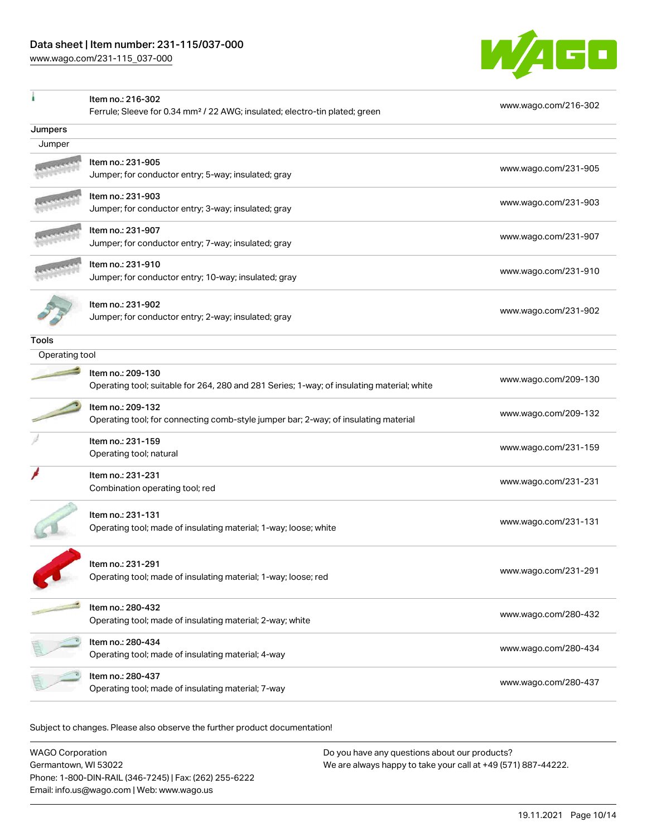

|                | Item no.: 216-302                                                                          |                      |
|----------------|--------------------------------------------------------------------------------------------|----------------------|
|                | Ferrule; Sleeve for 0.34 mm <sup>2</sup> / 22 AWG; insulated; electro-tin plated; green    | www.wago.com/216-302 |
| Jumpers        |                                                                                            |                      |
| Jumper         |                                                                                            |                      |
|                | Item no.: 231-905                                                                          |                      |
|                | Jumper; for conductor entry; 5-way; insulated; gray                                        | www.wago.com/231-905 |
|                | Item no.: 231-903                                                                          | www.wago.com/231-903 |
|                | Jumper; for conductor entry; 3-way; insulated; gray                                        |                      |
|                | Item no.: 231-907                                                                          | www.wago.com/231-907 |
|                | Jumper; for conductor entry; 7-way; insulated; gray                                        |                      |
|                | Item no.: 231-910                                                                          | www.wago.com/231-910 |
|                | Jumper; for conductor entry; 10-way; insulated; gray                                       |                      |
|                | Item no.: 231-902                                                                          |                      |
|                | Jumper; for conductor entry; 2-way; insulated; gray                                        | www.wago.com/231-902 |
| <b>Tools</b>   |                                                                                            |                      |
| Operating tool |                                                                                            |                      |
|                | Item no.: 209-130                                                                          |                      |
|                | Operating tool; suitable for 264, 280 and 281 Series; 1-way; of insulating material; white | www.wago.com/209-130 |
|                | Item no.: 209-132                                                                          |                      |
|                | Operating tool; for connecting comb-style jumper bar; 2-way; of insulating material        | www.wago.com/209-132 |
|                | Item no.: 231-159                                                                          | www.wago.com/231-159 |
|                | Operating tool; natural                                                                    |                      |
|                | Item no.: 231-231                                                                          | www.wago.com/231-231 |
|                | Combination operating tool; red                                                            |                      |
|                | Item no.: 231-131                                                                          |                      |
|                | Operating tool; made of insulating material; 1-way; loose; white                           | www.wago.com/231-131 |
|                |                                                                                            |                      |
|                | Item no.: 231-291                                                                          |                      |
|                | Operating tool; made of insulating material; 1-way; loose; red                             | www.wago.com/231-291 |
|                | Item no.: 280-432                                                                          |                      |
|                | Operating tool; made of insulating material; 2-way; white                                  | www.wago.com/280-432 |
|                | Item no.: 280-434                                                                          |                      |
|                | Operating tool; made of insulating material; 4-way                                         | www.wago.com/280-434 |
|                | Item no.: 280-437                                                                          |                      |
|                | Operating tool; made of insulating material; 7-way                                         | www.wago.com/280-437 |
|                |                                                                                            |                      |

Subject to changes. Please also observe the further product documentation!

| WAGO Corporation                                       | Do you have any questions about our products?                 |
|--------------------------------------------------------|---------------------------------------------------------------|
| Germantown, WI 53022                                   | We are always happy to take your call at +49 (571) 887-44222. |
| Phone: 1-800-DIN-RAIL (346-7245)   Fax: (262) 255-6222 |                                                               |
| Email: info.us@wago.com   Web: www.wago.us             |                                                               |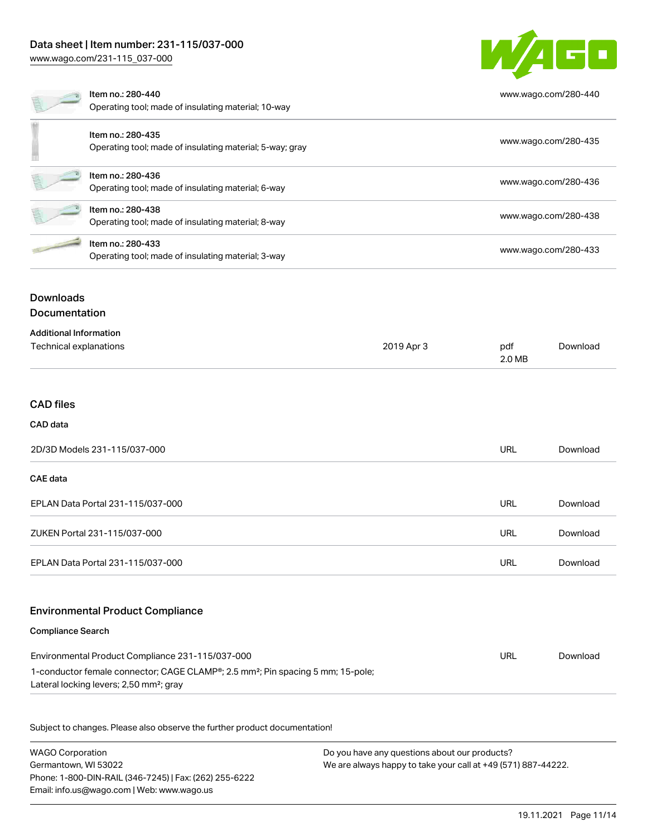# Data sheet | Item number: 231-115/037-000

[www.wago.com/231-115\\_037-000](http://www.wago.com/231-115_037-000)



|                                          | Item no.: 280-440<br>Operating tool; made of insulating material; 10-way      | www.wago.com/280-440 |
|------------------------------------------|-------------------------------------------------------------------------------|----------------------|
|                                          | Item no.: 280-435<br>Operating tool; made of insulating material; 5-way; gray | www.wago.com/280-435 |
|                                          | Item no.: 280-436<br>Operating tool; made of insulating material; 6-way       | www.wago.com/280-436 |
|                                          | Item no.: 280-438<br>Operating tool; made of insulating material; 8-way       | www.wago.com/280-438 |
|                                          | Item no.: 280-433<br>Operating tool; made of insulating material; 3-way       | www.wago.com/280-433 |
| <b>Downloads</b><br><b>Documentation</b> |                                                                               |                      |
| <b>Additional Information</b>            |                                                                               |                      |

| Technical explanations | 2019 Apr 3 | pdf    | Download |
|------------------------|------------|--------|----------|
|                        |            | 2.0 MB |          |

#### CAD files

#### CAD data

| 2D/3D Models 231-115/037-000      |     | Download |
|-----------------------------------|-----|----------|
| <b>CAE data</b>                   |     |          |
| EPLAN Data Portal 231-115/037-000 | URL | Download |
| ZUKEN Portal 231-115/037-000      | URL | Download |
| EPLAN Data Portal 231-115/037-000 | URL | Download |

#### Environmental Product Compliance

#### Compliance Search

| Environmental Product Compliance 231-115/037-000                                                         | URL | Download |
|----------------------------------------------------------------------------------------------------------|-----|----------|
| 1-conductor female connector; CAGE CLAMP <sup>®</sup> ; 2.5 mm <sup>2</sup> ; Pin spacing 5 mm; 15-pole; |     |          |
| Lateral locking levers; 2,50 mm <sup>2</sup> ; gray                                                      |     |          |

Subject to changes. Please also observe the further product documentation!

WAGO Corporation Germantown, WI 53022 Phone: 1-800-DIN-RAIL (346-7245) | Fax: (262) 255-6222 Email: info.us@wago.com | Web: www.wago.us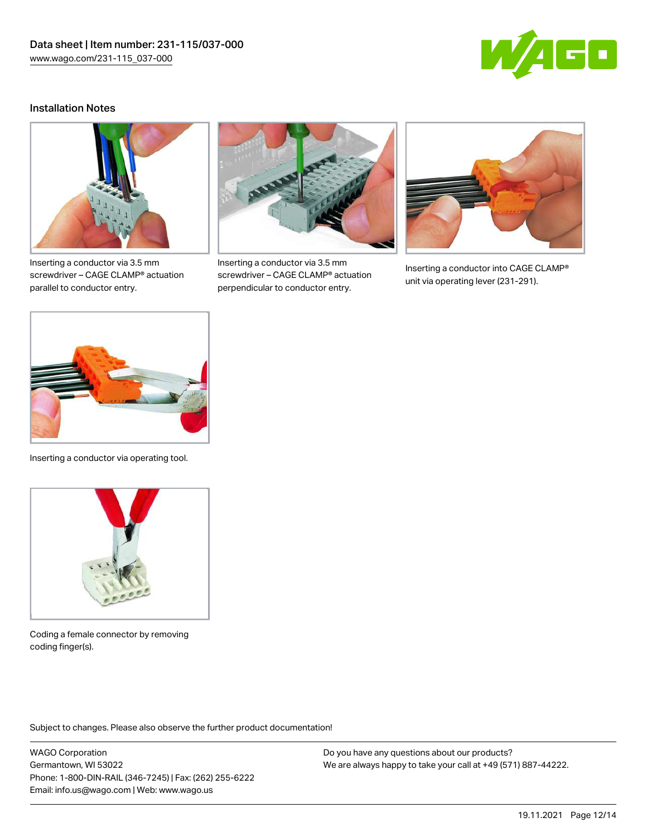

## Installation Notes



Inserting a conductor via 3.5 mm screwdriver – CAGE CLAMP® actuation parallel to conductor entry.



Inserting a conductor via 3.5 mm screwdriver – CAGE CLAMP® actuation perpendicular to conductor entry.



Inserting a conductor into CAGE CLAMP® unit via operating lever (231-291).



Inserting a conductor via operating tool.



Coding a female connector by removing coding finger(s).

Subject to changes. Please also observe the further product documentation!

WAGO Corporation Germantown, WI 53022 Phone: 1-800-DIN-RAIL (346-7245) | Fax: (262) 255-6222 Email: info.us@wago.com | Web: www.wago.us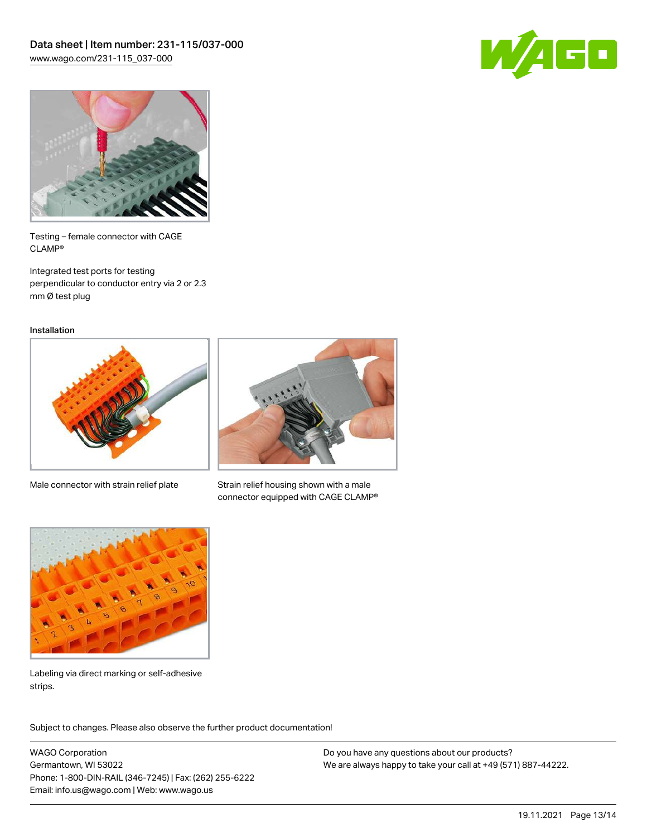



Testing – female connector with CAGE CLAMP®

Integrated test ports for testing perpendicular to conductor entry via 2 or 2.3 mm Ø test plug

Installation



Male connector with strain relief plate



Strain relief housing shown with a male connector equipped with CAGE CLAMP®



Labeling via direct marking or self-adhesive strips.

Subject to changes. Please also observe the further product documentation! Product family

WAGO Corporation Germantown, WI 53022 Phone: 1-800-DIN-RAIL (346-7245) | Fax: (262) 255-6222 Email: info.us@wago.com | Web: www.wago.us